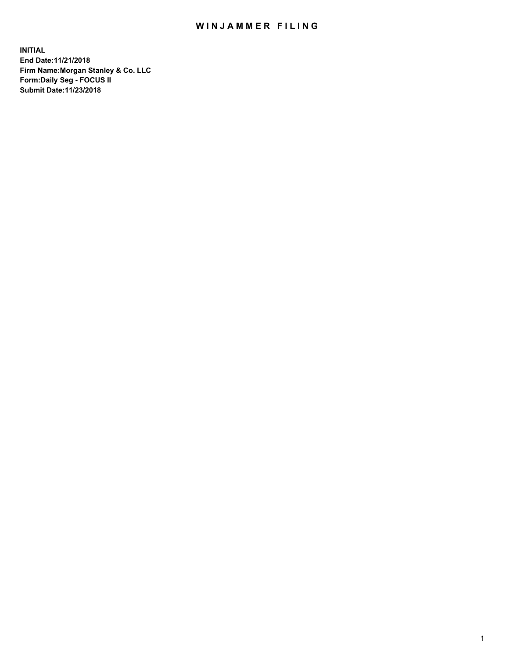## WIN JAMMER FILING

**INITIAL End Date:11/21/2018 Firm Name:Morgan Stanley & Co. LLC Form:Daily Seg - FOCUS II Submit Date:11/23/2018**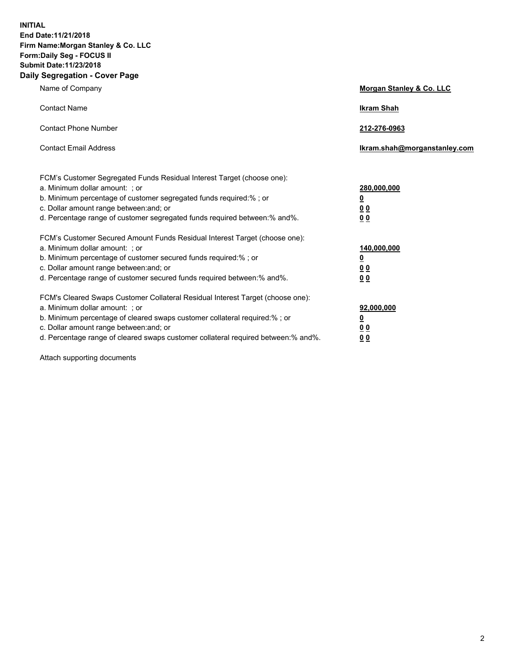**INITIAL End Date:11/21/2018 Firm Name:Morgan Stanley & Co. LLC Form:Daily Seg - FOCUS II Submit Date:11/23/2018 Daily Segregation - Cover Page**

| Name of Company                                                                   | Morgan Stanley & Co. LLC     |
|-----------------------------------------------------------------------------------|------------------------------|
| <b>Contact Name</b>                                                               | <b>Ikram Shah</b>            |
| <b>Contact Phone Number</b>                                                       | 212-276-0963                 |
| <b>Contact Email Address</b>                                                      | Ikram.shah@morganstanley.com |
| FCM's Customer Segregated Funds Residual Interest Target (choose one):            |                              |
| a. Minimum dollar amount: ; or                                                    | 280,000,000                  |
| b. Minimum percentage of customer segregated funds required:% ; or                | <u>0</u>                     |
| c. Dollar amount range between: and; or                                           | <u>0 0</u>                   |
| d. Percentage range of customer segregated funds required between: % and %.       | 0 Q                          |
| FCM's Customer Secured Amount Funds Residual Interest Target (choose one):        |                              |
| a. Minimum dollar amount: ; or                                                    | 140,000,000                  |
| b. Minimum percentage of customer secured funds required:%; or                    | <u>0</u>                     |
| c. Dollar amount range between: and; or                                           | 0 <sub>0</sub>               |
| d. Percentage range of customer secured funds required between:% and%.            | 0 <sub>0</sub>               |
| FCM's Cleared Swaps Customer Collateral Residual Interest Target (choose one):    |                              |
| a. Minimum dollar amount: ; or                                                    | 92,000,000                   |
| b. Minimum percentage of cleared swaps customer collateral required:% ; or        | <u>0</u>                     |
| c. Dollar amount range between: and; or                                           | 0 Q                          |
| d. Percentage range of cleared swaps customer collateral required between:% and%. | 00                           |

Attach supporting documents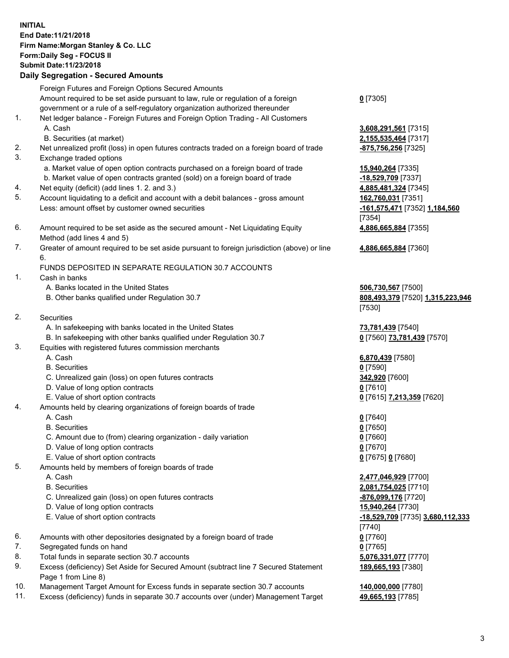## **INITIAL End Date:11/21/2018 Firm Name:Morgan Stanley & Co. LLC Form:Daily Seg - FOCUS II Submit Date:11/23/2018**

## **Daily Segregation - Secured Amounts**

Foreign Futures and Foreign Options Secured Amounts Amount required to be set aside pursuant to law, rule or regulation of a foreign government or a rule of a self-regulatory organization authorized thereunder 1. Net ledger balance - Foreign Futures and Foreign Option Trading - All Customers A. Cash **3,608,291,561** [7315] B. Securities (at market) **2,155,535,464** [7317] 2. Net unrealized profit (loss) in open futures contracts traded on a foreign board of trade **-875,756,256** [7325] 3. Exchange traded options a. Market value of open option contracts purchased on a foreign board of trade **15,940,264** [7335] b. Market value of open contracts granted (sold) on a foreign board of trade **-18,529,709** [7337]

- 4. Net equity (deficit) (add lines 1. 2. and 3.) **4,885,481,324** [7345]
- 5. Account liquidating to a deficit and account with a debit balances gross amount **162,760,031** [7351] Less: amount offset by customer owned securities **-161,575,471** [7352] **1,184,560**
- 6. Amount required to be set aside as the secured amount Net Liquidating Equity Method (add lines 4 and 5)
- 7. Greater of amount required to be set aside pursuant to foreign jurisdiction (above) or line 6.

## FUNDS DEPOSITED IN SEPARATE REGULATION 30.7 ACCOUNTS

- 1. Cash in banks
	- A. Banks located in the United States **506,730,567** [7500]
	- B. Other banks qualified under Regulation 30.7 **808,493,379** [7520] **1,315,223,946**
- 2. Securities
	- A. In safekeeping with banks located in the United States **73,781,439** [7540]
	- B. In safekeeping with other banks qualified under Regulation 30.7 **0** [7560] **73,781,439** [7570]
- 3. Equities with registered futures commission merchants
	-
	- B. Securities **0** [7590]
	- C. Unrealized gain (loss) on open futures contracts **342,920** [7600]
	- D. Value of long option contracts **0** [7610]
- E. Value of short option contracts **0** [7615] **7,213,359** [7620]
- 4. Amounts held by clearing organizations of foreign boards of trade
	- A. Cash **0** [7640]
	- B. Securities **0** [7650]
	- C. Amount due to (from) clearing organization daily variation **0** [7660]
	- D. Value of long option contracts **0** [7670]
	- E. Value of short option contracts **0** [7675] **0** [7680]
- 5. Amounts held by members of foreign boards of trade
	-
	-
	- C. Unrealized gain (loss) on open futures contracts **-876,099,176** [7720]
	- D. Value of long option contracts **15,940,264** [7730]
	- E. Value of short option contracts **-18,529,709** [7735] **3,680,112,333**
- 6. Amounts with other depositories designated by a foreign board of trade **0** [7760]
- 7. Segregated funds on hand **0** [7765]
- 8. Total funds in separate section 30.7 accounts **5,076,331,077** [7770]
- 9. Excess (deficiency) Set Aside for Secured Amount (subtract line 7 Secured Statement Page 1 from Line 8)
- 10. Management Target Amount for Excess funds in separate section 30.7 accounts **140,000,000** [7780]
- 11. Excess (deficiency) funds in separate 30.7 accounts over (under) Management Target **49,665,193** [7785]

**0** [7305]

[7354] **4,886,665,884** [7355]

**4,886,665,884** [7360]

[7530]

A. Cash **6,870,439** [7580]

 A. Cash **2,477,046,929** [7700] B. Securities **2,081,754,025** [7710] [7740] **189,665,193** [7380]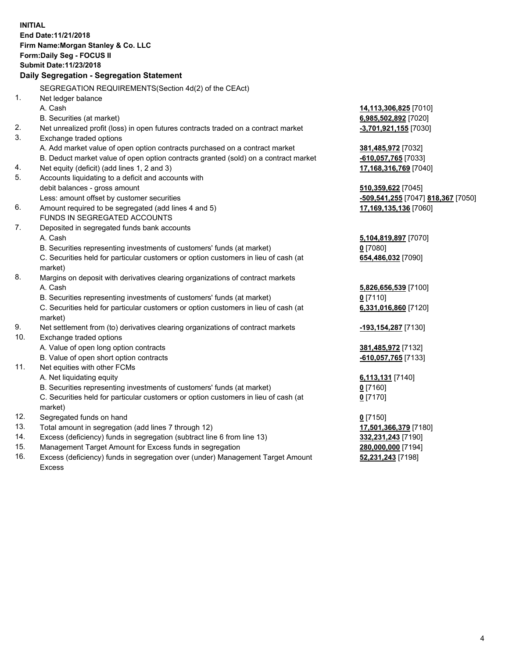|     | <b>INITIAL</b><br>End Date: 11/21/2018<br>Firm Name: Morgan Stanley & Co. LLC                  |                                    |
|-----|------------------------------------------------------------------------------------------------|------------------------------------|
|     | Form: Daily Seg - FOCUS II                                                                     |                                    |
|     | Submit Date: 11/23/2018<br>Daily Segregation - Segregation Statement                           |                                    |
|     |                                                                                                |                                    |
|     | SEGREGATION REQUIREMENTS(Section 4d(2) of the CEAct)                                           |                                    |
| 1.  | Net ledger balance                                                                             |                                    |
|     | A. Cash                                                                                        | 14,113,306,825 [7010]              |
|     | B. Securities (at market)                                                                      | 6,985,502,892 [7020]               |
| 2.  | Net unrealized profit (loss) in open futures contracts traded on a contract market             | $-3,701,921,155$ [7030]            |
| 3.  | Exchange traded options                                                                        |                                    |
|     | A. Add market value of open option contracts purchased on a contract market                    | 381,485,972 [7032]                 |
|     | B. Deduct market value of open option contracts granted (sold) on a contract market            | -610,057,765 [7033]                |
| 4.  | Net equity (deficit) (add lines 1, 2 and 3)                                                    | 17,168,316,769 [7040]              |
| 5.  | Accounts liquidating to a deficit and accounts with                                            |                                    |
|     | debit balances - gross amount                                                                  | 510,359,622 [7045]                 |
|     | Less: amount offset by customer securities                                                     | -509,541,255 [7047] 818,367 [7050] |
| 6.  | Amount required to be segregated (add lines 4 and 5)<br>FUNDS IN SEGREGATED ACCOUNTS           | 17,169,135,136 [7060]              |
| 7.  |                                                                                                |                                    |
|     | Deposited in segregated funds bank accounts<br>A. Cash                                         |                                    |
|     | B. Securities representing investments of customers' funds (at market)                         | 5,104,819,897 [7070]<br>$0$ [7080] |
|     | C. Securities held for particular customers or option customers in lieu of cash (at            | 654,486,032 [7090]                 |
|     | market)                                                                                        |                                    |
| 8.  | Margins on deposit with derivatives clearing organizations of contract markets                 |                                    |
|     | A. Cash                                                                                        | 5,826,656,539 [7100]               |
|     | B. Securities representing investments of customers' funds (at market)                         | $0$ [7110]                         |
|     | C. Securities held for particular customers or option customers in lieu of cash (at<br>market) | 6,331,016,860 [7120]               |
| 9.  | Net settlement from (to) derivatives clearing organizations of contract markets                | -193,154,287 [7130]                |
| 10. | Exchange traded options                                                                        |                                    |
|     | A. Value of open long option contracts                                                         | 381,485,972 [7132]                 |
|     | B. Value of open short option contracts                                                        | -610,057,765 [7133]                |
| 11. | Net equities with other FCMs                                                                   |                                    |
|     | A. Net liquidating equity                                                                      | 6,113,131 [7140]                   |
|     | B. Securities representing investments of customers' funds (at market)                         | 0 [7160]                           |
|     | C. Securities held for particular customers or option customers in lieu of cash (at            | $0$ [7170]                         |
|     | market)                                                                                        |                                    |
| 12. | Segregated funds on hand                                                                       | $0$ [7150]                         |
| 13. | Total amount in segregation (add lines 7 through 12)                                           | 17,501,366,379 [7180]              |
| 14. | Excess (deficiency) funds in segregation (subtract line 6 from line 13)                        | 332,231,243 [7190]                 |
| 15. | Management Target Amount for Excess funds in segregation                                       | 280,000,000 [7194]                 |

16. Excess (deficiency) funds in segregation over (under) Management Target Amount Excess

**52,231,243** [7198]